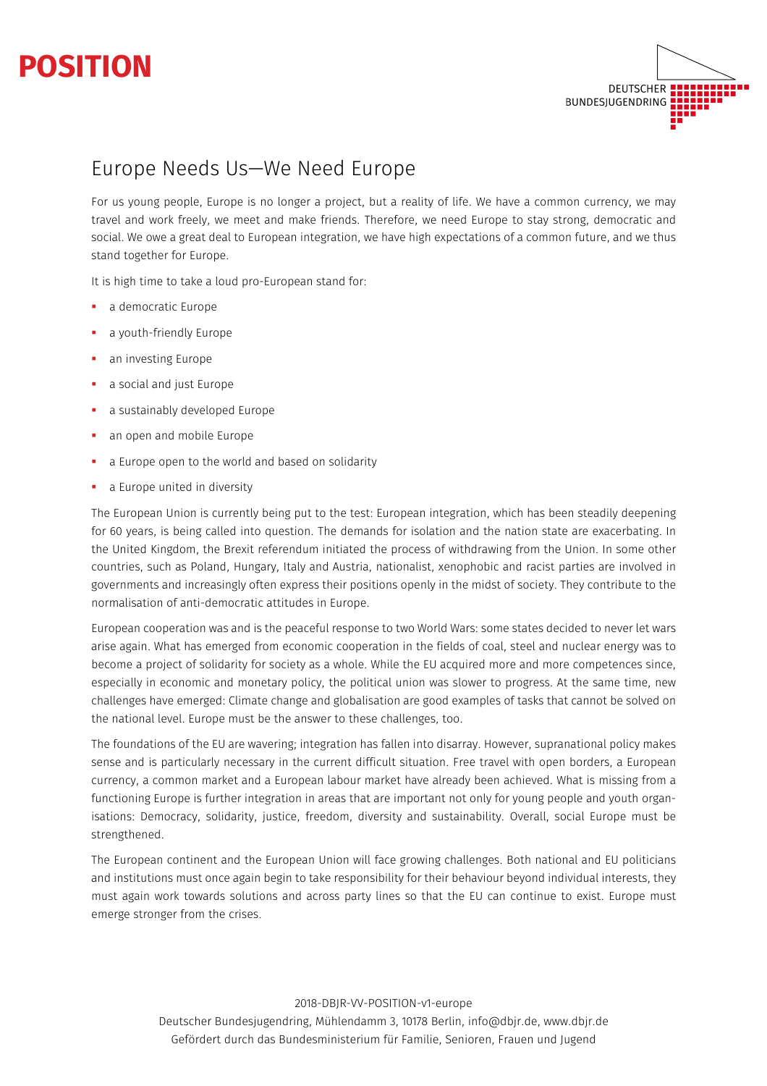



# Europe Needs Us—We Need Europe

For us young people, Europe is no longer a project, but a reality of life. We have a common currency, we may travel and work freely, we meet and make friends. Therefore, we need Europe to stay strong, democratic and social. We owe a great deal to European integration, we have high expectations of a common future, and we thus stand together for Europe.

It is high time to take a loud pro-European stand for:

- a democratic Europe
- a youth-friendly Europe
- § an investing Europe
- § a social and just Europe
- § a sustainably developed Europe
- an open and mobile Europe
- a Europe open to the world and based on solidarity
- a Europe united in diversity

The European Union is currently being put to the test: European integration, which has been steadily deepening for 60 years, is being called into question. The demands for isolation and the nation state are exacerbating. In the United Kingdom, the Brexit referendum initiated the process of withdrawing from the Union. In some other countries, such as Poland, Hungary, Italy and Austria, nationalist, xenophobic and racist parties are involved in governments and increasingly often express their positions openly in the midst of society. They contribute to the normalisation of anti-democratic attitudes in Europe.

European cooperation was and is the peaceful response to two World Wars: some states decided to never let wars arise again. What has emerged from economic cooperation in the fields of coal, steel and nuclear energy was to become a project of solidarity for society as a whole. While the EU acquired more and more competences since, especially in economic and monetary policy, the political union was slower to progress. At the same time, new challenges have emerged: Climate change and globalisation are good examples of tasks that cannot be solved on the national level. Europe must be the answer to these challenges, too.

The foundations of the EU are wavering; integration has fallen into disarray. However, supranational policy makes sense and is particularly necessary in the current difficult situation. Free travel with open borders, a European currency, a common market and a European labour market have already been achieved. What is missing from a functioning Europe is further integration in areas that are important not only for young people and youth organisations: Democracy, solidarity, justice, freedom, diversity and sustainability. Overall, social Europe must be strengthened.

The European continent and the European Union will face growing challenges. Both national and EU politicians and institutions must once again begin to take responsibility for their behaviour beyond individual interests, they must again work towards solutions and across party lines so that the EU can continue to exist. Europe must emerge stronger from the crises.

> 2018-DBJR-VV-POSITION-v1-europe Deutscher Bundesjugendring, Mühlendamm 3, 10178 Berlin, info@dbjr.de, www.dbjr.de Gefördert durch das Bundesministerium für Familie, Senioren, Frauen und Jugend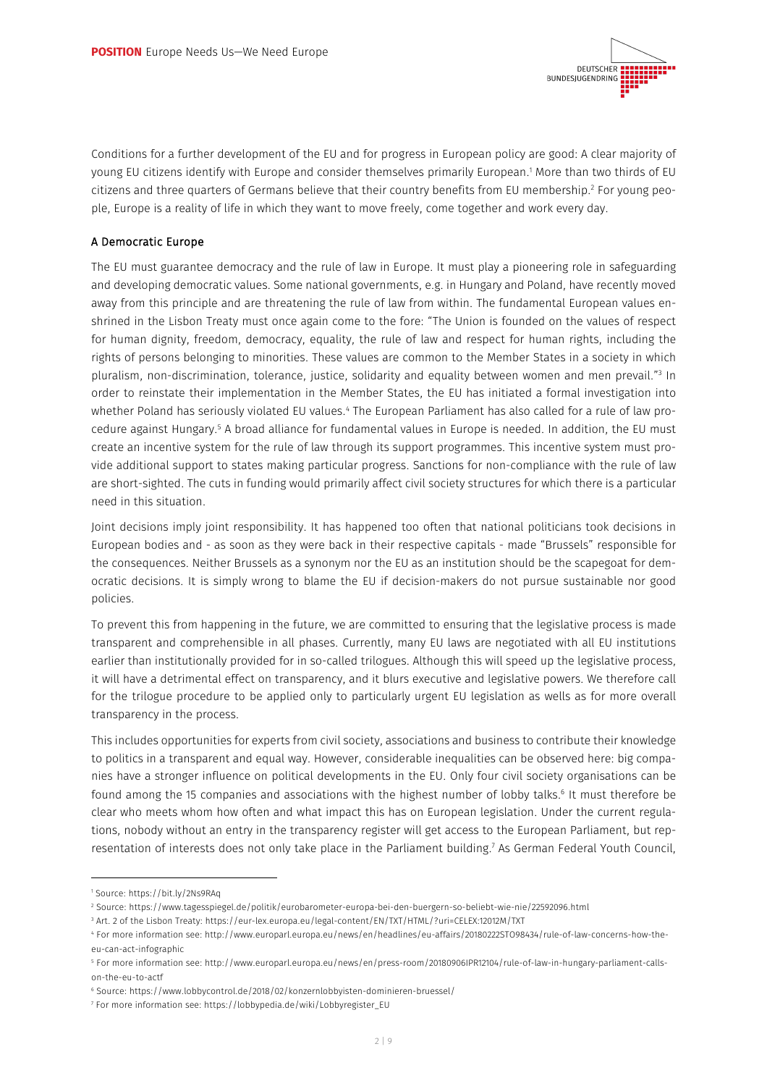

Conditions for a further development of the EU and for progress in European policy are good: A clear majority of young EU citizens identify with Europe and consider themselves primarily European. <sup>1</sup> More than two thirds of EU citizens and three quarters of Germans believe that their country benefits from EU membership.<sup>2</sup> For young people, Europe is a reality of life in which they want to move freely, come together and work every day.

## A Democratic Europe

The EU must guarantee democracy and the rule of law in Europe. It must play a pioneering role in safeguarding and developing democratic values. Some national governments, e.g. in Hungary and Poland, have recently moved away from this principle and are threatening the rule of law from within. The fundamental European values enshrined in the Lisbon Treaty must once again come to the fore: "The Union is founded on the values of respect for human dignity, freedom, democracy, equality, the rule of law and respect for human rights, including the rights of persons belonging to minorities. These values are common to the Member States in a society in which pluralism, non-discrimination, tolerance, justice, solidarity and equality between women and men prevail."3 In order to reinstate their implementation in the Member States, the EU has initiated a formal investigation into whether Poland has seriously violated EU values.<sup>4</sup> The European Parliament has also called for a rule of law procedure against Hungary.5 A broad alliance for fundamental values in Europe is needed. In addition, the EU must create an incentive system for the rule of law through its support programmes. This incentive system must provide additional support to states making particular progress. Sanctions for non-compliance with the rule of law are short-sighted. The cuts in funding would primarily affect civil society structures for which there is a particular need in this situation.

Joint decisions imply joint responsibility. It has happened too often that national politicians took decisions in European bodies and - as soon as they were back in their respective capitals - made "Brussels" responsible for the consequences. Neither Brussels as a synonym nor the EU as an institution should be the scapegoat for democratic decisions. It is simply wrong to blame the EU if decision-makers do not pursue sustainable nor good policies.

To prevent this from happening in the future, we are committed to ensuring that the legislative process is made transparent and comprehensible in all phases. Currently, many EU laws are negotiated with all EU institutions earlier than institutionally provided for in so-called trilogues. Although this will speed up the legislative process, it will have a detrimental effect on transparency, and it blurs executive and legislative powers. We therefore call for the trilogue procedure to be applied only to particularly urgent EU legislation as wells as for more overall transparency in the process.

This includes opportunities for experts from civil society, associations and business to contribute their knowledge to politics in a transparent and equal way. However, considerable inequalities can be observed here: big companies have a stronger influence on political developments in the EU. Only four civil society organisations can be found among the 15 companies and associations with the highest number of lobby talks.<sup>6</sup> It must therefore be clear who meets whom how often and what impact this has on European legislation. Under the current regulations, nobody without an entry in the transparency register will get access to the European Parliament, but representation of interests does not only take place in the Parliament building.7 As German Federal Youth Council,

I

<sup>1</sup> Source: https://bit.ly/2Ns9RAq

<sup>2</sup> Source: https://www.tagesspiegel.de/politik/eurobarometer-europa-bei-den-buergern-so-beliebt-wie-nie/22592096.html

<sup>3</sup> Art. 2 of the Lisbon Treaty: https://eur-lex.europa.eu/legal-content/EN/TXT/HTML/?uri=CELEX:12012M/TXT

<sup>4</sup> For more information see: http://www.europarl.europa.eu/news/en/headlines/eu-affairs/20180222STO98434/rule-of-law-concerns-how-theeu-can-act-infographic

<sup>5</sup> For more information see: http://www.europarl.europa.eu/news/en/press-room/20180906IPR12104/rule-of-law-in-hungary-parliament-callson-the-eu-to-actf

<sup>6</sup> Source: https://www.lobbycontrol.de/2018/02/konzernlobbyisten-dominieren-bruessel/

<sup>7</sup> For more information see: https://lobbypedia.de/wiki/Lobbyregister\_EU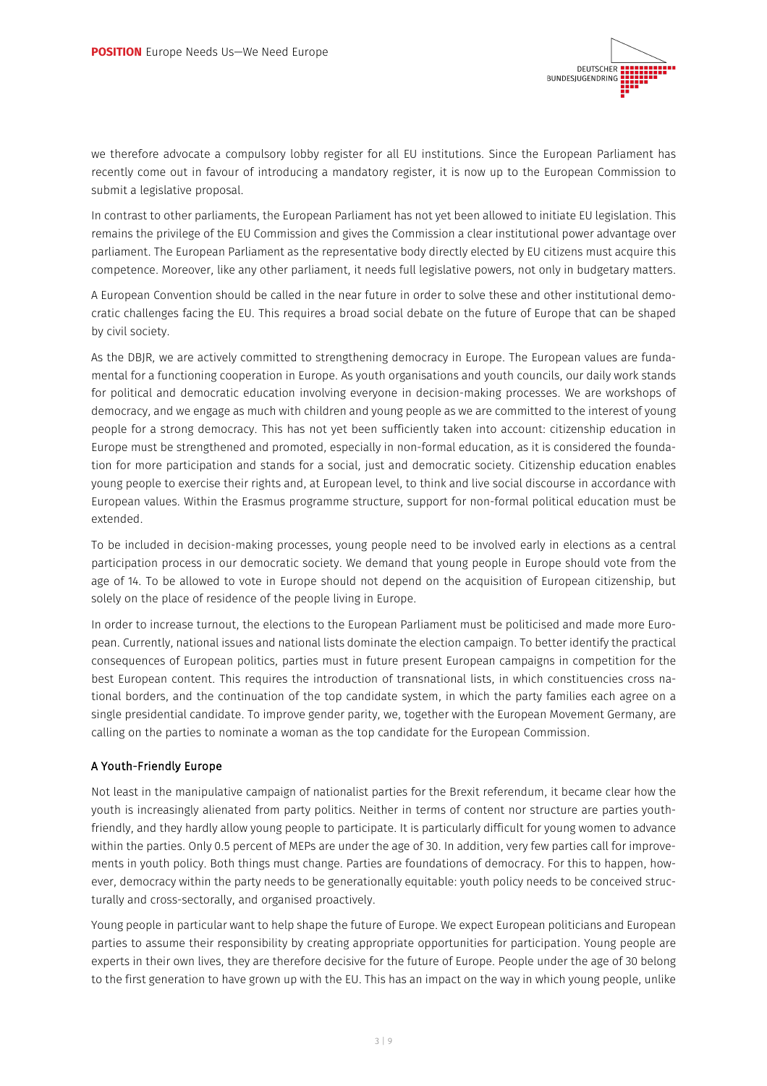

we therefore advocate a compulsory lobby register for all EU institutions. Since the European Parliament has recently come out in favour of introducing a mandatory register, it is now up to the European Commission to submit a legislative proposal.

In contrast to other parliaments, the European Parliament has not yet been allowed to initiate EU legislation. This remains the privilege of the EU Commission and gives the Commission a clear institutional power advantage over parliament. The European Parliament as the representative body directly elected by EU citizens must acquire this competence. Moreover, like any other parliament, it needs full legislative powers, not only in budgetary matters.

A European Convention should be called in the near future in order to solve these and other institutional democratic challenges facing the EU. This requires a broad social debate on the future of Europe that can be shaped by civil society.

As the DBJR, we are actively committed to strengthening democracy in Europe. The European values are fundamental for a functioning cooperation in Europe. As youth organisations and youth councils, our daily work stands for political and democratic education involving everyone in decision-making processes. We are workshops of democracy, and we engage as much with children and young people as we are committed to the interest of young people for a strong democracy. This has not yet been sufficiently taken into account: citizenship education in Europe must be strengthened and promoted, especially in non-formal education, as it is considered the foundation for more participation and stands for a social, just and democratic society. Citizenship education enables young people to exercise their rights and, at European level, to think and live social discourse in accordance with European values. Within the Erasmus programme structure, support for non-formal political education must be extended.

To be included in decision-making processes, young people need to be involved early in elections as a central participation process in our democratic society. We demand that young people in Europe should vote from the age of 14. To be allowed to vote in Europe should not depend on the acquisition of European citizenship, but solely on the place of residence of the people living in Europe.

In order to increase turnout, the elections to the European Parliament must be politicised and made more European. Currently, national issues and national lists dominate the election campaign. To better identify the practical consequences of European politics, parties must in future present European campaigns in competition for the best European content. This requires the introduction of transnational lists, in which constituencies cross national borders, and the continuation of the top candidate system, in which the party families each agree on a single presidential candidate. To improve gender parity, we, together with the European Movement Germany, are calling on the parties to nominate a woman as the top candidate for the European Commission.

## A Youth-Friendly Europe

Not least in the manipulative campaign of nationalist parties for the Brexit referendum, it became clear how the youth is increasingly alienated from party politics. Neither in terms of content nor structure are parties youthfriendly, and they hardly allow young people to participate. It is particularly difficult for young women to advance within the parties. Only 0.5 percent of MEPs are under the age of 30. In addition, very few parties call for improvements in youth policy. Both things must change. Parties are foundations of democracy. For this to happen, however, democracy within the party needs to be generationally equitable: youth policy needs to be conceived structurally and cross-sectorally, and organised proactively.

Young people in particular want to help shape the future of Europe. We expect European politicians and European parties to assume their responsibility by creating appropriate opportunities for participation. Young people are experts in their own lives, they are therefore decisive for the future of Europe. People under the age of 30 belong to the first generation to have grown up with the EU. This has an impact on the way in which young people, unlike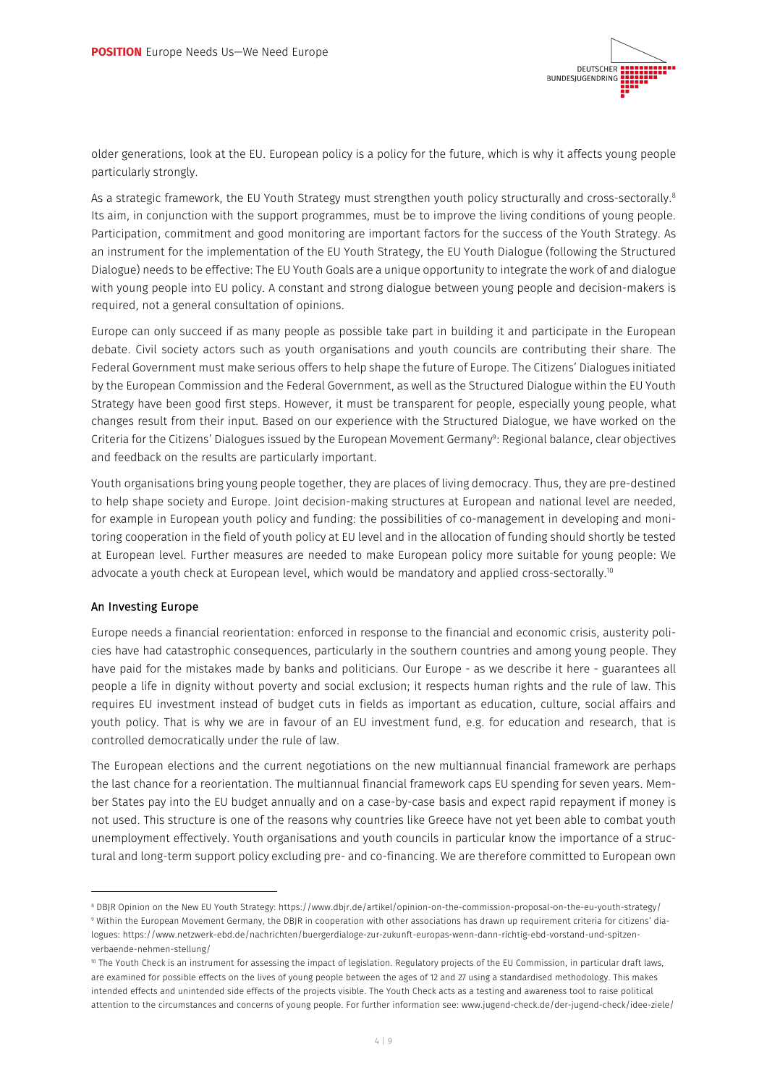

older generations, look at the EU. European policy is a policy for the future, which is why it affects young people particularly strongly.

As a strategic framework, the EU Youth Strategy must strengthen youth policy structurally and cross-sectorally. 8 Its aim, in conjunction with the support programmes, must be to improve the living conditions of young people. Participation, commitment and good monitoring are important factors for the success of the Youth Strategy. As an instrument for the implementation of the EU Youth Strategy, the EU Youth Dialogue (following the Structured Dialogue) needs to be effective: The EU Youth Goals are a unique opportunity to integrate the work of and dialogue with young people into EU policy. A constant and strong dialogue between young people and decision-makers is required, not a general consultation of opinions.

Europe can only succeed if as many people as possible take part in building it and participate in the European debate. Civil society actors such as youth organisations and youth councils are contributing their share. The Federal Government must make serious offers to help shape the future of Europe. The Citizens' Dialogues initiated by the European Commission and the Federal Government, as well as the Structured Dialogue within the EU Youth Strategy have been good first steps. However, it must be transparent for people, especially young people, what changes result from their input. Based on our experience with the Structured Dialogue, we have worked on the Criteria for the Citizens' Dialogues issued by the European Movement Germany9 : Regional balance, clear objectives and feedback on the results are particularly important.

Youth organisations bring young people together, they are places of living democracy. Thus, they are pre-destined to help shape society and Europe. Joint decision-making structures at European and national level are needed, for example in European youth policy and funding: the possibilities of co-management in developing and monitoring cooperation in the field of youth policy at EU level and in the allocation of funding should shortly be tested at European level. Further measures are needed to make European policy more suitable for young people: We advocate a youth check at European level, which would be mandatory and applied cross-sectorally. 10

#### An Investing Europe

I

Europe needs a financial reorientation: enforced in response to the financial and economic crisis, austerity policies have had catastrophic consequences, particularly in the southern countries and among young people. They have paid for the mistakes made by banks and politicians. Our Europe - as we describe it here - guarantees all people a life in dignity without poverty and social exclusion; it respects human rights and the rule of law. This requires EU investment instead of budget cuts in fields as important as education, culture, social affairs and youth policy. That is why we are in favour of an EU investment fund, e.g. for education and research, that is controlled democratically under the rule of law.

The European elections and the current negotiations on the new multiannual financial framework are perhaps the last chance for a reorientation. The multiannual financial framework caps EU spending for seven years. Member States pay into the EU budget annually and on a case-by-case basis and expect rapid repayment if money is not used. This structure is one of the reasons why countries like Greece have not yet been able to combat youth unemployment effectively. Youth organisations and youth councils in particular know the importance of a structural and long-term support policy excluding pre- and co-financing. We are therefore committed to European own

<sup>8</sup> DBJR Opinion on the New EU Youth Strategy: https://www.dbjr.de/artikel/opinion-on-the-commission-proposal-on-the-eu-youth-strategy/ <sup>9</sup> Within the European Movement Germany, the DBJR in cooperation with other associations has drawn up requirement criteria for citizens' dialogues: https://www.netzwerk-ebd.de/nachrichten/buergerdialoge-zur-zukunft-europas-wenn-dann-richtig-ebd-vorstand-und-spitzenverbaende-nehmen-stellung/

<sup>&</sup>lt;sup>10</sup> The Youth Check is an instrument for assessing the impact of legislation. Regulatory projects of the EU Commission, in particular draft laws, are examined for possible effects on the lives of young people between the ages of 12 and 27 using a standardised methodology. This makes intended effects and unintended side effects of the projects visible. The Youth Check acts as a testing and awareness tool to raise political attention to the circumstances and concerns of young people. For further information see: www.jugend-check.de/der-jugend-check/idee-ziele/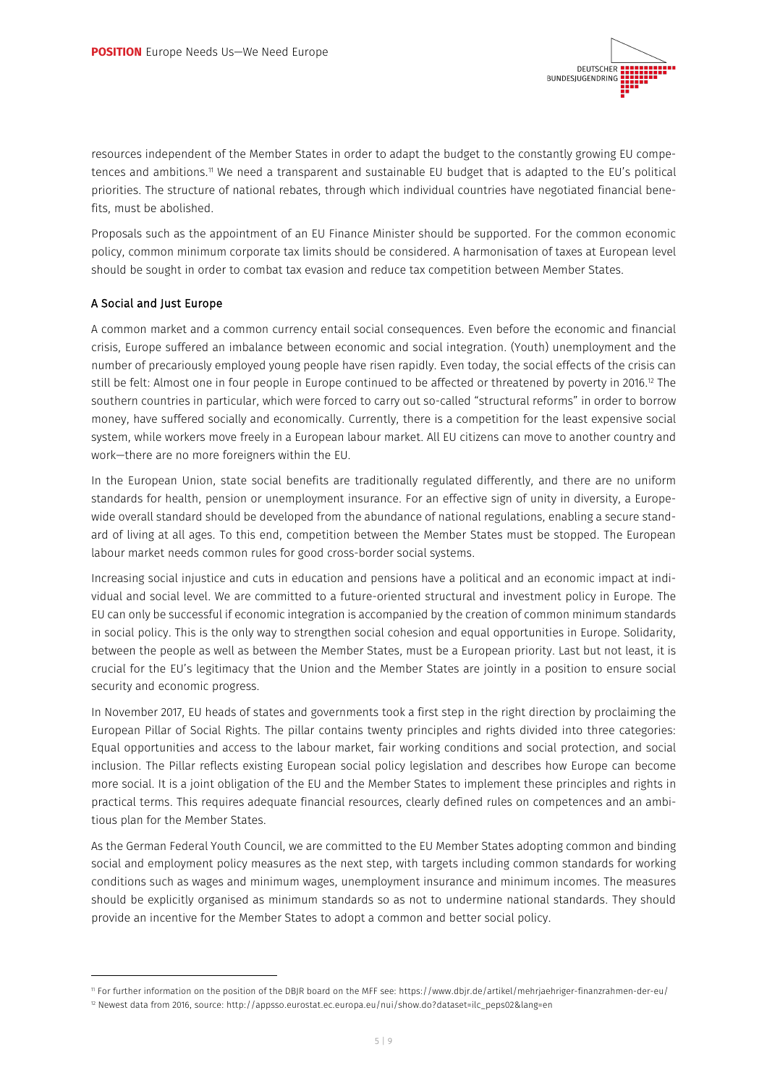

resources independent of the Member States in order to adapt the budget to the constantly growing EU competences and ambitions.11 We need a transparent and sustainable EU budget that is adapted to the EU's political priorities. The structure of national rebates, through which individual countries have negotiated financial benefits, must be abolished.

Proposals such as the appointment of an EU Finance Minister should be supported. For the common economic policy, common minimum corporate tax limits should be considered. A harmonisation of taxes at European level should be sought in order to combat tax evasion and reduce tax competition between Member States.

## A Social and Just Europe

j

A common market and a common currency entail social consequences. Even before the economic and financial crisis, Europe suffered an imbalance between economic and social integration. (Youth) unemployment and the number of precariously employed young people have risen rapidly. Even today, the social effects of the crisis can still be felt: Almost one in four people in Europe continued to be affected or threatened by poverty in 2016.<sup>12</sup> The southern countries in particular, which were forced to carry out so-called "structural reforms" in order to borrow money, have suffered socially and economically. Currently, there is a competition for the least expensive social system, while workers move freely in a European labour market. All EU citizens can move to another country and work—there are no more foreigners within the EU.

In the European Union, state social benefits are traditionally regulated differently, and there are no uniform standards for health, pension or unemployment insurance. For an effective sign of unity in diversity, a Europewide overall standard should be developed from the abundance of national regulations, enabling a secure standard of living at all ages. To this end, competition between the Member States must be stopped. The European labour market needs common rules for good cross-border social systems.

Increasing social injustice and cuts in education and pensions have a political and an economic impact at individual and social level. We are committed to a future-oriented structural and investment policy in Europe. The EU can only be successful if economic integration is accompanied by the creation of common minimum standards in social policy. This is the only way to strengthen social cohesion and equal opportunities in Europe. Solidarity, between the people as well as between the Member States, must be a European priority. Last but not least, it is crucial for the EU's legitimacy that the Union and the Member States are jointly in a position to ensure social security and economic progress.

In November 2017, EU heads of states and governments took a first step in the right direction by proclaiming the European Pillar of Social Rights. The pillar contains twenty principles and rights divided into three categories: Equal opportunities and access to the labour market, fair working conditions and social protection, and social inclusion. The Pillar reflects existing European social policy legislation and describes how Europe can become more social. It is a joint obligation of the EU and the Member States to implement these principles and rights in practical terms. This requires adequate financial resources, clearly defined rules on competences and an ambitious plan for the Member States.

As the German Federal Youth Council, we are committed to the EU Member States adopting common and binding social and employment policy measures as the next step, with targets including common standards for working conditions such as wages and minimum wages, unemployment insurance and minimum incomes. The measures should be explicitly organised as minimum standards so as not to undermine national standards. They should provide an incentive for the Member States to adopt a common and better social policy.

<sup>11</sup> For further information on the position of the DBJR board on the MFF see: https://www.dbjr.de/artikel/mehrjaehriger-finanzrahmen-der-eu/

<sup>12</sup> Newest data from 2016, source: http://appsso.eurostat.ec.europa.eu/nui/show.do?dataset=ilc\_peps02&lang=en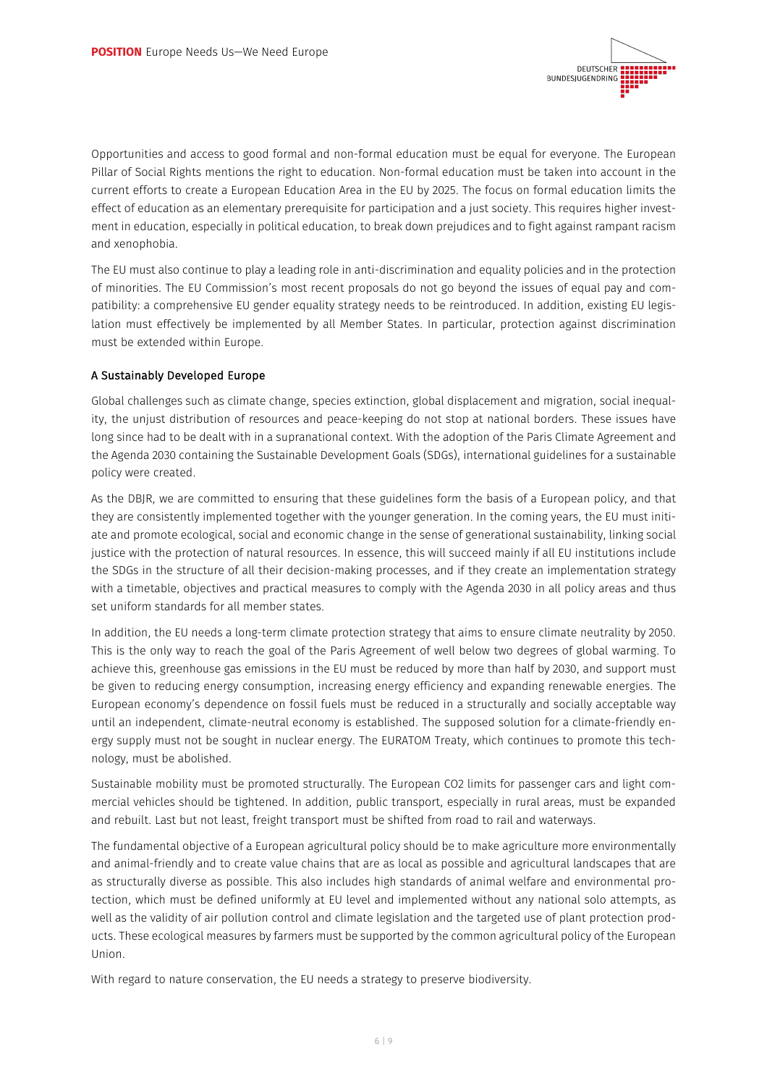

Opportunities and access to good formal and non-formal education must be equal for everyone. The European Pillar of Social Rights mentions the right to education. Non-formal education must be taken into account in the current efforts to create a European Education Area in the EU by 2025. The focus on formal education limits the effect of education as an elementary prerequisite for participation and a just society. This requires higher investment in education, especially in political education, to break down prejudices and to fight against rampant racism and xenophobia.

The EU must also continue to play a leading role in anti-discrimination and equality policies and in the protection of minorities. The EU Commission's most recent proposals do not go beyond the issues of equal pay and compatibility: a comprehensive EU gender equality strategy needs to be reintroduced. In addition, existing EU legislation must effectively be implemented by all Member States. In particular, protection against discrimination must be extended within Europe.

## A Sustainably Developed Europe

Global challenges such as climate change, species extinction, global displacement and migration, social inequality, the unjust distribution of resources and peace-keeping do not stop at national borders. These issues have long since had to be dealt with in a supranational context. With the adoption of the Paris Climate Agreement and the Agenda 2030 containing the Sustainable Development Goals (SDGs), international guidelines for a sustainable policy were created.

As the DBJR, we are committed to ensuring that these guidelines form the basis of a European policy, and that they are consistently implemented together with the younger generation. In the coming years, the EU must initiate and promote ecological, social and economic change in the sense of generational sustainability, linking social justice with the protection of natural resources. In essence, this will succeed mainly if all EU institutions include the SDGs in the structure of all their decision-making processes, and if they create an implementation strategy with a timetable, objectives and practical measures to comply with the Agenda 2030 in all policy areas and thus set uniform standards for all member states.

In addition, the EU needs a long-term climate protection strategy that aims to ensure climate neutrality by 2050. This is the only way to reach the goal of the Paris Agreement of well below two degrees of global warming. To achieve this, greenhouse gas emissions in the EU must be reduced by more than half by 2030, and support must be given to reducing energy consumption, increasing energy efficiency and expanding renewable energies. The European economy's dependence on fossil fuels must be reduced in a structurally and socially acceptable way until an independent, climate-neutral economy is established. The supposed solution for a climate-friendly energy supply must not be sought in nuclear energy. The EURATOM Treaty, which continues to promote this technology, must be abolished.

Sustainable mobility must be promoted structurally. The European CO2 limits for passenger cars and light commercial vehicles should be tightened. In addition, public transport, especially in rural areas, must be expanded and rebuilt. Last but not least, freight transport must be shifted from road to rail and waterways.

The fundamental objective of a European agricultural policy should be to make agriculture more environmentally and animal-friendly and to create value chains that are as local as possible and agricultural landscapes that are as structurally diverse as possible. This also includes high standards of animal welfare and environmental protection, which must be defined uniformly at EU level and implemented without any national solo attempts, as well as the validity of air pollution control and climate legislation and the targeted use of plant protection products. These ecological measures by farmers must be supported by the common agricultural policy of the European Union.

With regard to nature conservation, the EU needs a strategy to preserve biodiversity.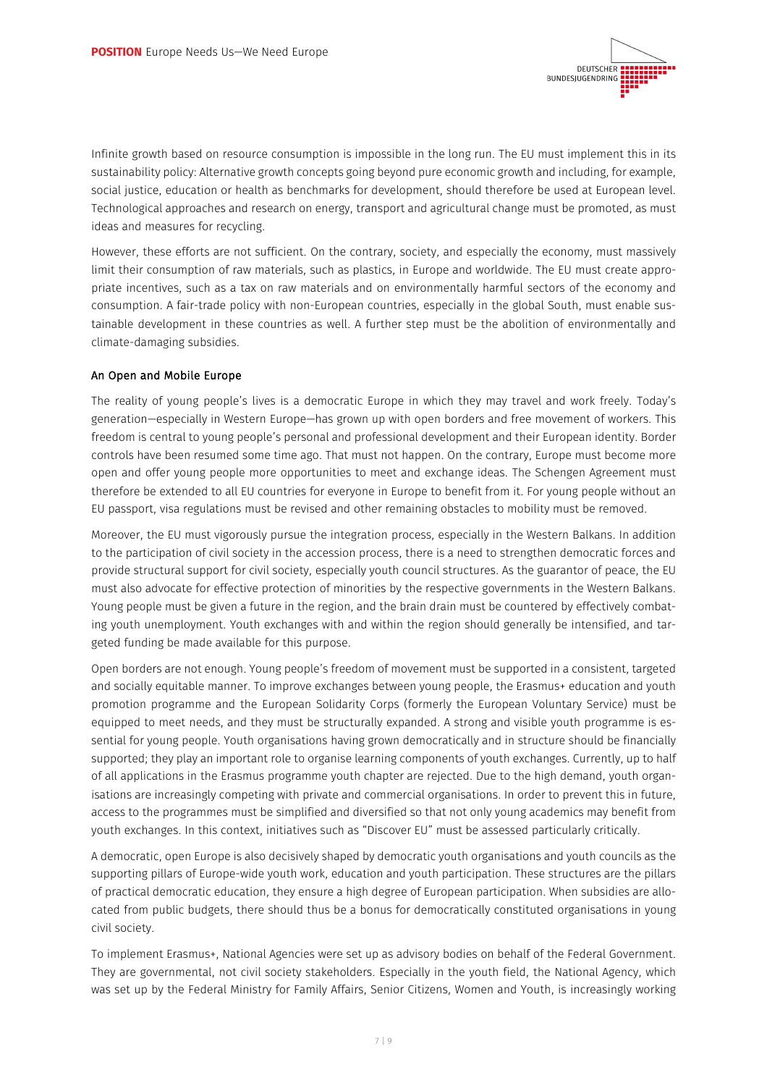

Infinite growth based on resource consumption is impossible in the long run. The EU must implement this in its sustainability policy: Alternative growth concepts going beyond pure economic growth and including, for example, social justice, education or health as benchmarks for development, should therefore be used at European level. Technological approaches and research on energy, transport and agricultural change must be promoted, as must ideas and measures for recycling.

However, these efforts are not sufficient. On the contrary, society, and especially the economy, must massively limit their consumption of raw materials, such as plastics, in Europe and worldwide. The EU must create appropriate incentives, such as a tax on raw materials and on environmentally harmful sectors of the economy and consumption. A fair-trade policy with non-European countries, especially in the global South, must enable sustainable development in these countries as well. A further step must be the abolition of environmentally and climate-damaging subsidies.

## An Open and Mobile Europe

The reality of young people's lives is a democratic Europe in which they may travel and work freely. Today's generation—especially in Western Europe—has grown up with open borders and free movement of workers. This freedom is central to young people's personal and professional development and their European identity. Border controls have been resumed some time ago. That must not happen. On the contrary, Europe must become more open and offer young people more opportunities to meet and exchange ideas. The Schengen Agreement must therefore be extended to all EU countries for everyone in Europe to benefit from it. For young people without an EU passport, visa regulations must be revised and other remaining obstacles to mobility must be removed.

Moreover, the EU must vigorously pursue the integration process, especially in the Western Balkans. In addition to the participation of civil society in the accession process, there is a need to strengthen democratic forces and provide structural support for civil society, especially youth council structures. As the guarantor of peace, the EU must also advocate for effective protection of minorities by the respective governments in the Western Balkans. Young people must be given a future in the region, and the brain drain must be countered by effectively combating youth unemployment. Youth exchanges with and within the region should generally be intensified, and targeted funding be made available for this purpose.

Open borders are not enough. Young people's freedom of movement must be supported in a consistent, targeted and socially equitable manner. To improve exchanges between young people, the Erasmus+ education and youth promotion programme and the European Solidarity Corps (formerly the European Voluntary Service) must be equipped to meet needs, and they must be structurally expanded. A strong and visible youth programme is essential for young people. Youth organisations having grown democratically and in structure should be financially supported; they play an important role to organise learning components of youth exchanges. Currently, up to half of all applications in the Erasmus programme youth chapter are rejected. Due to the high demand, youth organisations are increasingly competing with private and commercial organisations. In order to prevent this in future, access to the programmes must be simplified and diversified so that not only young academics may benefit from youth exchanges. In this context, initiatives such as "Discover EU" must be assessed particularly critically.

A democratic, open Europe is also decisively shaped by democratic youth organisations and youth councils as the supporting pillars of Europe-wide youth work, education and youth participation. These structures are the pillars of practical democratic education, they ensure a high degree of European participation. When subsidies are allocated from public budgets, there should thus be a bonus for democratically constituted organisations in young civil society.

To implement Erasmus+, National Agencies were set up as advisory bodies on behalf of the Federal Government. They are governmental, not civil society stakeholders. Especially in the youth field, the National Agency, which was set up by the Federal Ministry for Family Affairs, Senior Citizens, Women and Youth, is increasingly working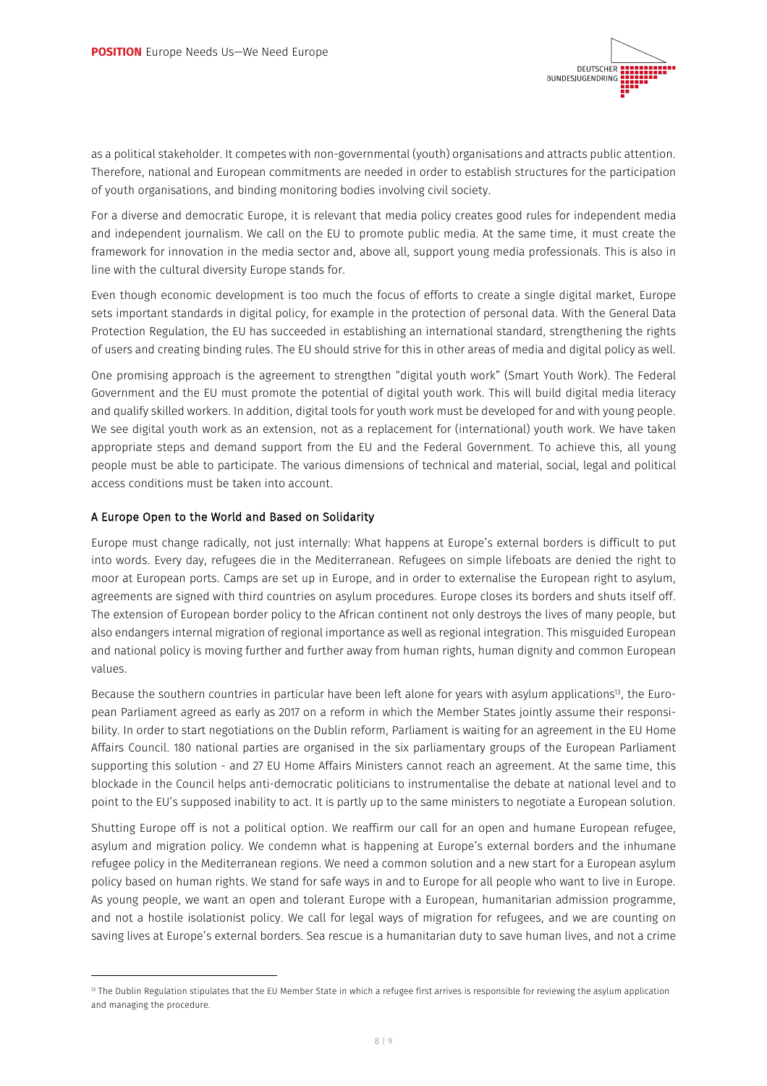

as a political stakeholder. It competes with non-governmental (youth) organisations and attracts public attention. Therefore, national and European commitments are needed in order to establish structures for the participation of youth organisations, and binding monitoring bodies involving civil society.

For a diverse and democratic Europe, it is relevant that media policy creates good rules for independent media and independent journalism. We call on the EU to promote public media. At the same time, it must create the framework for innovation in the media sector and, above all, support young media professionals. This is also in line with the cultural diversity Europe stands for.

Even though economic development is too much the focus of efforts to create a single digital market, Europe sets important standards in digital policy, for example in the protection of personal data. With the General Data Protection Regulation, the EU has succeeded in establishing an international standard, strengthening the rights of users and creating binding rules. The EU should strive for this in other areas of media and digital policy as well.

One promising approach is the agreement to strengthen "digital youth work" (Smart Youth Work). The Federal Government and the EU must promote the potential of digital youth work. This will build digital media literacy and qualify skilled workers. In addition, digital tools for youth work must be developed for and with young people. We see digital youth work as an extension, not as a replacement for (international) youth work. We have taken appropriate steps and demand support from the EU and the Federal Government. To achieve this, all young people must be able to participate. The various dimensions of technical and material, social, legal and political access conditions must be taken into account.

## A Europe Open to the World and Based on Solidarity

j

Europe must change radically, not just internally: What happens at Europe's external borders is difficult to put into words. Every day, refugees die in the Mediterranean. Refugees on simple lifeboats are denied the right to moor at European ports. Camps are set up in Europe, and in order to externalise the European right to asylum, agreements are signed with third countries on asylum procedures. Europe closes its borders and shuts itself off. The extension of European border policy to the African continent not only destroys the lives of many people, but also endangers internal migration of regional importance as well as regional integration. This misguided European and national policy is moving further and further away from human rights, human dignity and common European values.

Because the southern countries in particular have been left alone for years with asylum applications<sup>13</sup>, the European Parliament agreed as early as 2017 on a reform in which the Member States jointly assume their responsibility. In order to start negotiations on the Dublin reform, Parliament is waiting for an agreement in the EU Home Affairs Council. 180 national parties are organised in the six parliamentary groups of the European Parliament supporting this solution - and 27 EU Home Affairs Ministers cannot reach an agreement. At the same time, this blockade in the Council helps anti-democratic politicians to instrumentalise the debate at national level and to point to the EU's supposed inability to act. It is partly up to the same ministers to negotiate a European solution.

Shutting Europe off is not a political option. We reaffirm our call for an open and humane European refugee, asylum and migration policy. We condemn what is happening at Europe's external borders and the inhumane refugee policy in the Mediterranean regions. We need a common solution and a new start for a European asylum policy based on human rights. We stand for safe ways in and to Europe for all people who want to live in Europe. As young people, we want an open and tolerant Europe with a European, humanitarian admission programme, and not a hostile isolationist policy. We call for legal ways of migration for refugees, and we are counting on saving lives at Europe's external borders. Sea rescue is a humanitarian duty to save human lives, and not a crime

<sup>&</sup>lt;sup>13</sup> The Dublin Regulation stipulates that the EU Member State in which a refugee first arrives is responsible for reviewing the asylum application and managing the procedure.